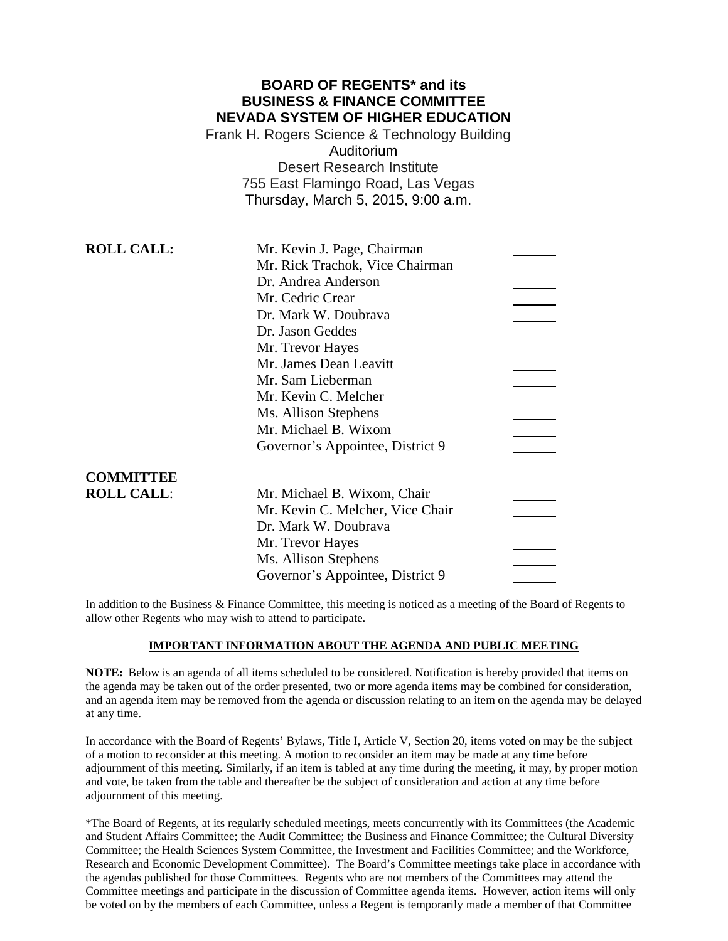# **BOARD OF REGENTS\* and its BUSINESS & FINANCE COMMITTEE NEVADA SYSTEM OF HIGHER EDUCATION**

Frank H. Rogers Science & Technology Building Auditorium Desert Research Institute 755 East Flamingo Road, Las Vegas Thursday, March 5, 2015, 9:00 a.m.

| <b>ROLL CALL:</b> | Mr. Kevin J. Page, Chairman      |  |
|-------------------|----------------------------------|--|
|                   | Mr. Rick Trachok, Vice Chairman  |  |
|                   | Dr. Andrea Anderson              |  |
|                   | Mr. Cedric Crear                 |  |
|                   | Dr. Mark W. Doubrava             |  |
|                   | Dr. Jason Geddes                 |  |
|                   | Mr. Trevor Hayes                 |  |
|                   | Mr. James Dean Leavitt           |  |
|                   | Mr. Sam Lieberman                |  |
|                   | Mr. Kevin C. Melcher             |  |
|                   | Ms. Allison Stephens             |  |
|                   | Mr. Michael B. Wixom             |  |
|                   | Governor's Appointee, District 9 |  |
| <b>COMMITTEE</b>  |                                  |  |
| <b>ROLL CALL:</b> | Mr. Michael B. Wixom, Chair      |  |
|                   | Mr. Kevin C. Melcher, Vice Chair |  |
|                   | Dr. Mark W. Doubrava             |  |
|                   | Mr. Trevor Hayes                 |  |
|                   | Ms. Allison Stephens             |  |
|                   | Governor's Appointee, District 9 |  |
|                   |                                  |  |

In addition to the Business & Finance Committee, this meeting is noticed as a meeting of the Board of Regents to allow other Regents who may wish to attend to participate.

### **IMPORTANT INFORMATION ABOUT THE AGENDA AND PUBLIC MEETING**

**NOTE:** Below is an agenda of all items scheduled to be considered. Notification is hereby provided that items on the agenda may be taken out of the order presented, two or more agenda items may be combined for consideration, and an agenda item may be removed from the agenda or discussion relating to an item on the agenda may be delayed at any time.

In accordance with the Board of Regents' Bylaws, Title I, Article V, Section 20, items voted on may be the subject of a motion to reconsider at this meeting. A motion to reconsider an item may be made at any time before adjournment of this meeting. Similarly, if an item is tabled at any time during the meeting, it may, by proper motion and vote, be taken from the table and thereafter be the subject of consideration and action at any time before adjournment of this meeting.

\*The Board of Regents, at its regularly scheduled meetings, meets concurrently with its Committees (the Academic and Student Affairs Committee; the Audit Committee; the Business and Finance Committee; the Cultural Diversity Committee; the Health Sciences System Committee, the Investment and Facilities Committee; and the Workforce, Research and Economic Development Committee). The Board's Committee meetings take place in accordance with the agendas published for those Committees. Regents who are not members of the Committees may attend the Committee meetings and participate in the discussion of Committee agenda items. However, action items will only be voted on by the members of each Committee, unless a Regent is temporarily made a member of that Committee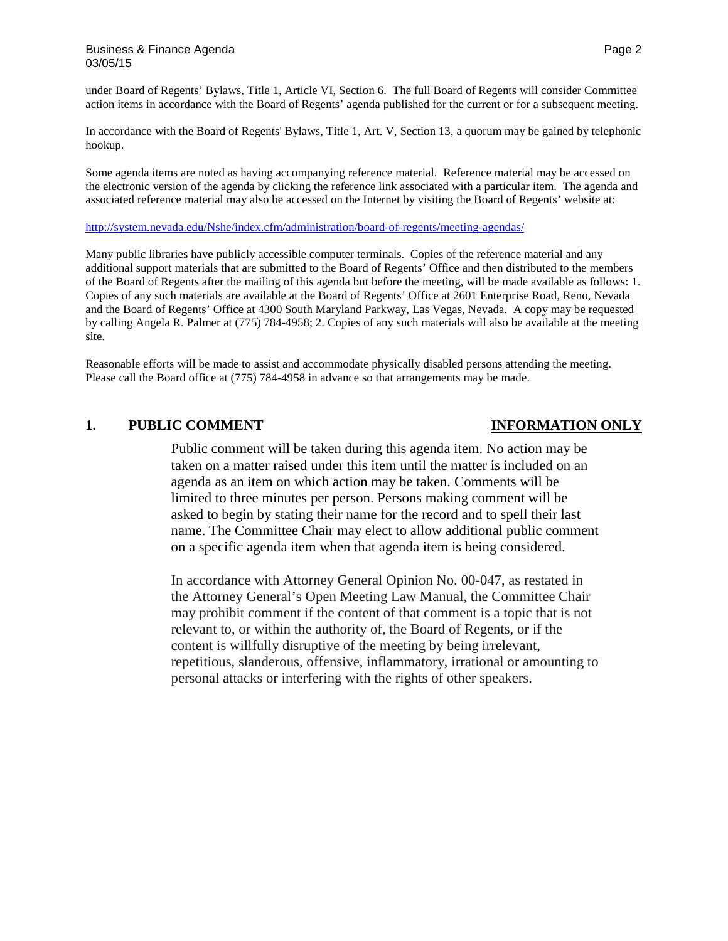under Board of Regents' Bylaws, Title 1, Article VI, Section 6. The full Board of Regents will consider Committee action items in accordance with the Board of Regents' agenda published for the current or for a subsequent meeting.

In accordance with the Board of Regents' Bylaws, Title 1, Art. V, Section 13, a quorum may be gained by telephonic hookup.

Some agenda items are noted as having accompanying reference material. Reference material may be accessed on the electronic version of the agenda by clicking the reference link associated with a particular item. The agenda and associated reference material may also be accessed on the Internet by visiting the Board of Regents' website at:

### <http://system.nevada.edu/Nshe/index.cfm/administration/board-of-regents/meeting-agendas/>

Many public libraries have publicly accessible computer terminals. Copies of the reference material and any additional support materials that are submitted to the Board of Regents' Office and then distributed to the members of the Board of Regents after the mailing of this agenda but before the meeting, will be made available as follows: 1. Copies of any such materials are available at the Board of Regents' Office at 2601 Enterprise Road, Reno, Nevada and the Board of Regents' Office at 4300 South Maryland Parkway, Las Vegas, Nevada. A copy may be requested by calling Angela R. Palmer at (775) 784-4958; 2. Copies of any such materials will also be available at the meeting site.

Reasonable efforts will be made to assist and accommodate physically disabled persons attending the meeting. Please call the Board office at (775) 784-4958 in advance so that arrangements may be made.

### **1. PUBLIC COMMENT INFORMATION ONLY**

Public comment will be taken during this agenda item. No action may be taken on a matter raised under this item until the matter is included on an agenda as an item on which action may be taken. Comments will be limited to three minutes per person. Persons making comment will be asked to begin by stating their name for the record and to spell their last name. The Committee Chair may elect to allow additional public comment on a specific agenda item when that agenda item is being considered.

In accordance with Attorney General Opinion No. 00-047, as restated in the Attorney General's Open Meeting Law Manual, the Committee Chair may prohibit comment if the content of that comment is a topic that is not relevant to, or within the authority of, the Board of Regents, or if the content is willfully disruptive of the meeting by being irrelevant, repetitious, slanderous, offensive, inflammatory, irrational or amounting to personal attacks or interfering with the rights of other speakers.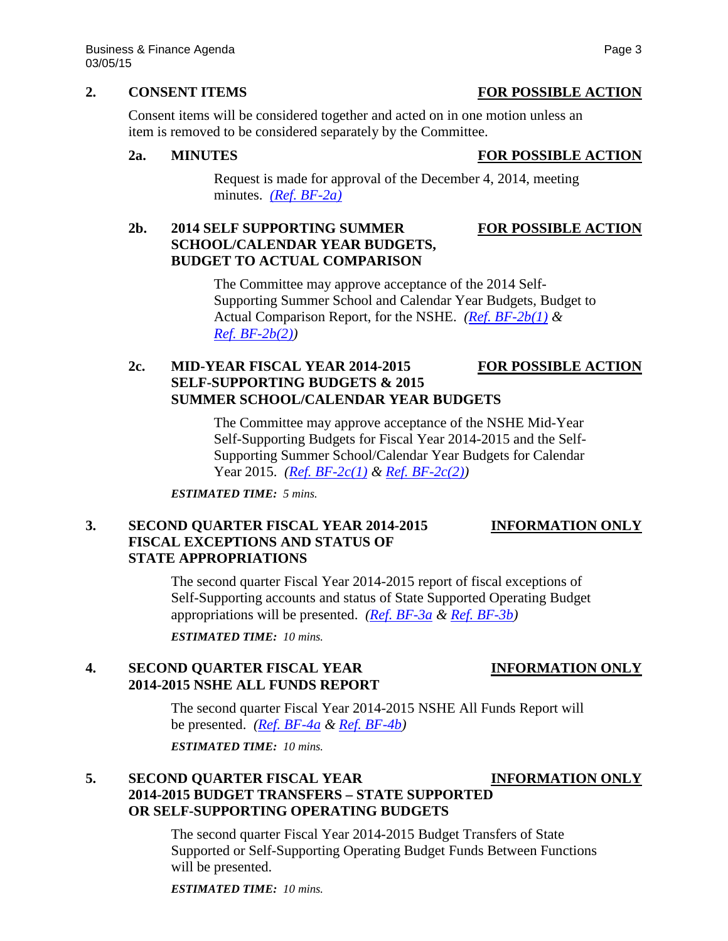### **2. CONSENT ITEMS FOR POSSIBLE ACTION**

Consent items will be considered together and acted on in one motion unless an item is removed to be considered separately by the Committee.

## **2a. MINUTES FOR POSSIBLE ACTION**

Request is made for approval of the December 4, 2014, meeting minutes. *[\(Ref. BF-2a\)](http://system.nevada.edu/tasks/sites/Nshe/assets/File/BoardOfRegents/Agendas/2015/mar-mtgs/bf-refs/BF-2a.pdf)*

# **2b. 2014 SELF SUPPORTING SUMMER FOR POSSIBLE ACTION SCHOOL/CALENDAR YEAR BUDGETS, BUDGET TO ACTUAL COMPARISON**

The Committee may approve acceptance of the 2014 Self-Supporting Summer School and Calendar Year Budgets, Budget to Actual Comparison Report, for the NSHE. *[\(Ref. BF-2b\(1\)](http://system.nevada.edu/tasks/sites/Nshe/assets/File/BoardOfRegents/Agendas/2015/mar-mtgs/bf-refs/BF-2b(1).pdf) & [Ref. BF-2b\(2\)\)](http://system.nevada.edu/tasks/sites/Nshe/assets/File/BoardOfRegents/Agendas/2015/mar-mtgs/bf-refs/BF-2b(2).pdf)*

# **2c. MID-YEAR FISCAL YEAR 2014-2015 FOR POSSIBLE ACTION SELF-SUPPORTING BUDGETS & 2015 SUMMER SCHOOL/CALENDAR YEAR BUDGETS**

The Committee may approve acceptance of the NSHE Mid-Year Self-Supporting Budgets for Fiscal Year 2014-2015 and the Self-Supporting Summer School/Calendar Year Budgets for Calendar Year 2015. *[\(Ref. BF-2c\(1\)](http://system.nevada.edu/tasks/sites/Nshe/assets/File/BoardOfRegents/Agendas/2015/mar-mtgs/bf-refs/BF-2c(1).pdf) & [Ref. BF-2c\(2\)\)](http://system.nevada.edu/tasks/sites/Nshe/assets/File/BoardOfRegents/Agendas/2015/mar-mtgs/bf-refs/BF-2c(2).pdf)*

*ESTIMATED TIME: 5 mins.*

# **3. SECOND QUARTER FISCAL YEAR 2014-2015 INFORMATION ONLY FISCAL EXCEPTIONS AND STATUS OF STATE APPROPRIATIONS**

The second quarter Fiscal Year 2014-2015 report of fiscal exceptions of Self-Supporting accounts and status of State Supported Operating Budget appropriations will be presented. *[\(Ref. BF-3a](http://system.nevada.edu/tasks/sites/Nshe/assets/File/BoardOfRegents/Agendas/2015/mar-mtgs/bf-refs/BF-3a.pdf) & [Ref. BF-3b\)](http://system.nevada.edu/tasks/sites/Nshe/assets/File/BoardOfRegents/Agendas/2015/mar-mtgs/bf-refs/BF-3b.pdf)*

*ESTIMATED TIME: 10 mins.*

# **4. SECOND QUARTER FISCAL YEAR INFORMATION ONLY 2014-2015 NSHE ALL FUNDS REPORT**

The second quarter Fiscal Year 2014-2015 NSHE All Funds Report will be presented. *[\(Ref. BF-4a](http://system.nevada.edu/tasks/sites/Nshe/assets/File/BoardOfRegents/Agendas/2015/mar-mtgs/bf-refs/BF-4a.pdf) & [Ref. BF-4b\)](http://system.nevada.edu/tasks/sites/Nshe/assets/File/BoardOfRegents/Agendas/2015/mar-mtgs/bf-refs/BF-4b.pdf)*

*ESTIMATED TIME: 10 mins.*

# **5. SECOND QUARTER FISCAL YEAR INFORMATION ONLY 2014-2015 BUDGET TRANSFERS – STATE SUPPORTED OR SELF-SUPPORTING OPERATING BUDGETS**

The second quarter Fiscal Year 2014-2015 Budget Transfers of State Supported or Self-Supporting Operating Budget Funds Between Functions will be presented.

*ESTIMATED TIME: 10 mins.*